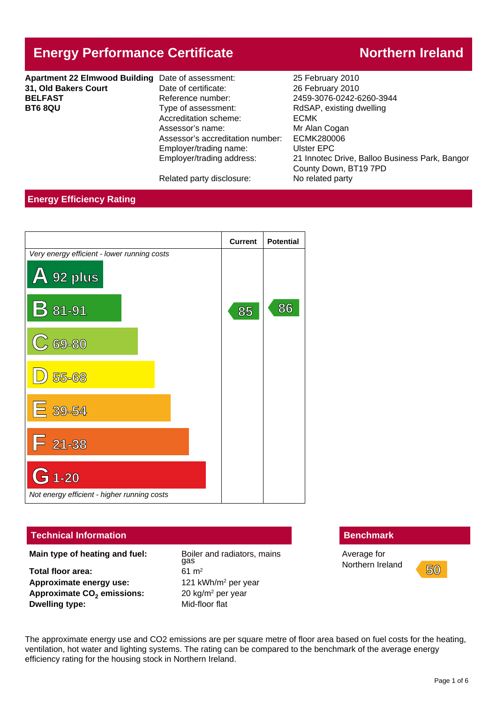# **Energy Performance Certificate Northern Ireland**

| Apartment 22 Elmwood Building Date of assessment: |                                  | 25 February 2010             |
|---------------------------------------------------|----------------------------------|------------------------------|
| 31, Old Bakers Court                              | Date of certificate:             | 26 February 2010             |
| <b>BELFAST</b>                                    | Reference number:                | 2459-3076-0242-6260-3944     |
| <b>BT6 8QU</b>                                    | Type of assessment:              | RdSAP, existing dwelling     |
|                                                   | Accreditation scheme:            | <b>ECMK</b>                  |
|                                                   | Assessor's name:                 | Mr Alan Cogan                |
|                                                   | Assessor's accreditation number: | <b>ECMK280006</b>            |
|                                                   | Employer/trading name:           | Ulster EPC                   |
|                                                   | Employer/trading address:        | 21 Innotec Drive, Balloo Bus |

**31, Old Bakers Court** Date of certificate: 26 February 2010 **ECMK** Mr Alan Cogan er: ECMK280006 Ulster EPC 21 Innotec Drive, Balloo Business Park, Bangor County Down, BT19 7PD Related party disclosure: No related party

## **Energy Efficiency Rating**



## **Technical Information Benchmark Benchmark**

**Main type of heating and fuel:** Boiler and radiators, mains

**Total floor area:** 61 m<sup>2</sup> Approximate energy use: **Approximate CO<sup>2</sup> emissions:** 20 kg/m<sup>2</sup> **Dwelling type:** Mid-floor flat

gas 121 kWh/m<sup>2</sup> per year  $20 \text{ kg/m}^2$  per year

Average for Northern Ireland **50** 



The approximate energy use and CO2 emissions are per square metre of floor area based on fuel costs for the heating, ventilation, hot water and lighting systems. The rating can be compared to the benchmark of the average energy efficiency rating for the housing stock in Northern Ireland.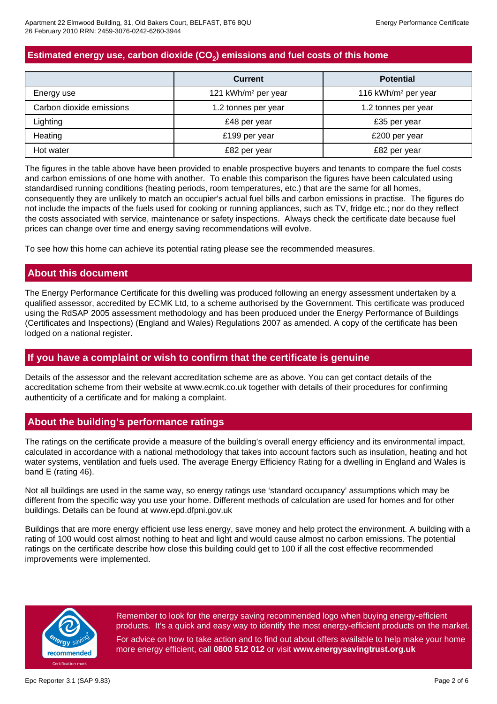# **Estimated energy use, carbon dioxide (CO<sup>2</sup> ) emissions and fuel costs of this home**

|                          | <b>Current</b>                  | <b>Potential</b>                |
|--------------------------|---------------------------------|---------------------------------|
| Energy use               | 121 kWh/m <sup>2</sup> per year | 116 kWh/m <sup>2</sup> per year |
| Carbon dioxide emissions | 1.2 tonnes per year             | 1.2 tonnes per year             |
| Lighting                 | £48 per year                    | £35 per year                    |
| Heating                  | £199 per year                   | £200 per year                   |
| Hot water                | £82 per year                    | £82 per year                    |

The figures in the table above have been provided to enable prospective buyers and tenants to compare the fuel costs and carbon emissions of one home with another. To enable this comparison the figures have been calculated using standardised running conditions (heating periods, room temperatures, etc.) that are the same for all homes, consequently they are unlikely to match an occupier's actual fuel bills and carbon emissions in practise. The figures do not include the impacts of the fuels used for cooking or running appliances, such as TV, fridge etc.; nor do they reflect the costs associated with service, maintenance or safety inspections. Always check the certificate date because fuel prices can change over time and energy saving recommendations will evolve.

To see how this home can achieve its potential rating please see the recommended measures.

## **About this document**

The Energy Performance Certificate for this dwelling was produced following an energy assessment undertaken by a qualified assessor, accredited by ECMK Ltd, to a scheme authorised by the Government. This certificate was produced using the RdSAP 2005 assessment methodology and has been produced under the Energy Performance of Buildings (Certificates and Inspections) (England and Wales) Regulations 2007 as amended. A copy of the certificate has been lodged on a national register.

## **If you have a complaint or wish to confirm that the certificate is genuine**

Details of the assessor and the relevant accreditation scheme are as above. You can get contact details of the accreditation scheme from their website at www.ecmk.co.uk together with details of their procedures for confirming authenticity of a certificate and for making a complaint.

## **About the building's performance ratings**

The ratings on the certificate provide a measure of the building's overall energy efficiency and its environmental impact, calculated in accordance with a national methodology that takes into account factors such as insulation, heating and hot water systems, ventilation and fuels used. The average Energy Efficiency Rating for a dwelling in England and Wales is band E (rating 46).

Not all buildings are used in the same way, so energy ratings use 'standard occupancy' assumptions which may be different from the specific way you use your home. Different methods of calculation are used for homes and for other buildings. Details can be found at www.epd.dfpni.gov.uk

Buildings that are more energy efficient use less energy, save money and help protect the environment. A building with a rating of 100 would cost almost nothing to heat and light and would cause almost no carbon emissions. The potential ratings on the certificate describe how close this building could get to 100 if all the cost effective recommended improvements were implemented.



Remember to look for the energy saving recommended logo when buying energy-efficient products. It's a quick and easy way to identify the most energy-efficient products on the market. For advice on how to take action and to find out about offers available to help make your home more energy efficient, call **0800 512 012** or visit **www.energysavingtrust.org.uk**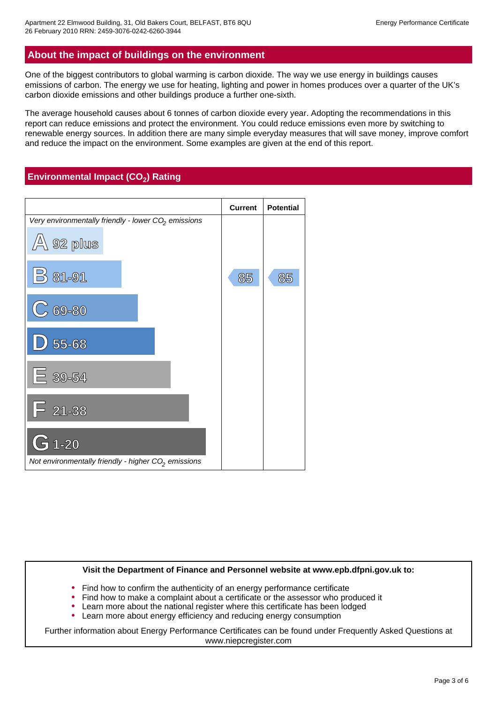## **About the impact of buildings on the environment**

One of the biggest contributors to global warming is carbon dioxide. The way we use energy in buildings causes emissions of carbon. The energy we use for heating, lighting and power in homes produces over a quarter of the UK's carbon dioxide emissions and other buildings produce a further one-sixth.

The average household causes about 6 tonnes of carbon dioxide every year. Adopting the recommendations in this report can reduce emissions and protect the environment. You could reduce emissions even more by switching to renewable energy sources. In addition there are many simple everyday measures that will save money, improve comfort and reduce the impact on the environment. Some examples are given at the end of this report.

## **Environmental Impact (CO<sup>2</sup> ) Rating**



#### **Visit the Department of Finance and Personnel website at www.epb.dfpni.gov.uk to:**

- Find how to confirm the authenticity of an energy performance certificate
- Find how to make a complaint about a certificate or the assessor who produced it
- Learn more about the national register where this certificate has been lodged
- Learn more about energy efficiency and reducing energy consumption

Further information about Energy Performance Certificates can be found under Frequently Asked Questions at www.niepcregister.com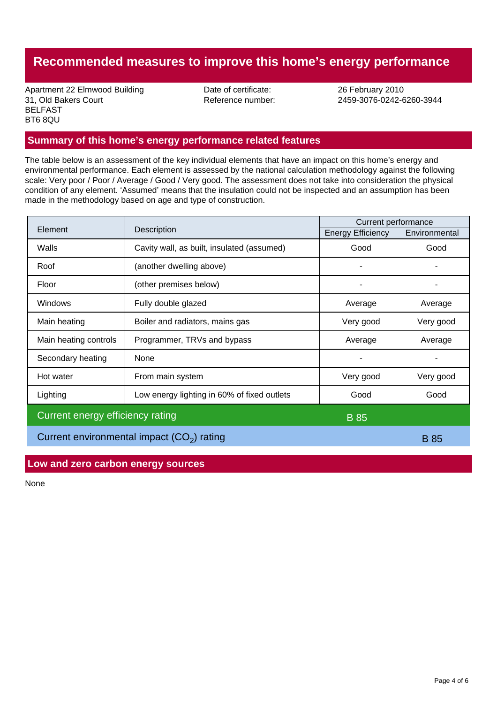# **Recommended measures to improve this home's energy performance**

Apartment 22 Elmwood Building Date of certificate: 26 February 2010 31, Old Bakers Court Reference number: 2459-3076-0242-6260-3944 BELFAST BT6 8QU

## **Summary of this home's energy performance related features**

The table below is an assessment of the key individual elements that have an impact on this home's energy and environmental performance. Each element is assessed by the national calculation methodology against the following scale: Very poor / Poor / Average / Good / Very good. The assessment does not take into consideration the physical condition of any element. 'Assumed' means that the insulation could not be inspected and an assumption has been made in the methodology based on age and type of construction.

|                                             |                                             | Current performance      |               |
|---------------------------------------------|---------------------------------------------|--------------------------|---------------|
| Element                                     | Description                                 | <b>Energy Efficiency</b> | Environmental |
| Walls                                       | Cavity wall, as built, insulated (assumed)  | Good                     | Good          |
| Roof                                        | (another dwelling above)                    | ۰                        |               |
| Floor                                       | (other premises below)                      |                          |               |
| Windows                                     | Fully double glazed                         | Average                  | Average       |
| Main heating                                | Boiler and radiators, mains gas             | Very good                | Very good     |
| Main heating controls                       | Programmer, TRVs and bypass                 | Average                  | Average       |
| Secondary heating                           | None                                        |                          |               |
| Hot water                                   | From main system                            | Very good                | Very good     |
| Lighting                                    | Low energy lighting in 60% of fixed outlets | Good                     | Good          |
| Current energy efficiency rating            |                                             | <b>B</b> 85              |               |
| Current environmental impact $(CO2)$ rating |                                             |                          | <b>B</b> 85   |

**Low and zero carbon energy sources**

None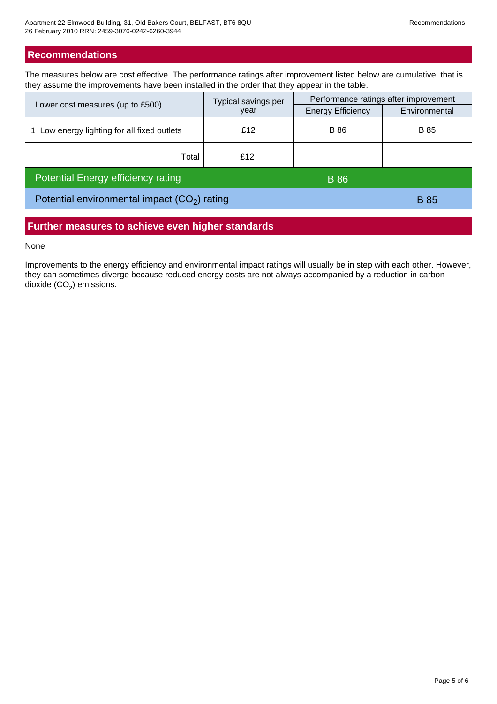## **Recommendations**

The measures below are cost effective. The performance ratings after improvement listed below are cumulative, that is they assume the improvements have been installed in the order that they appear in the table.

|                                               | Typical savings per<br>year | Performance ratings after improvement |               |
|-----------------------------------------------|-----------------------------|---------------------------------------|---------------|
| Lower cost measures (up to £500)              |                             | <b>Energy Efficiency</b>              | Environmental |
| Low energy lighting for all fixed outlets     | £12                         | <b>B</b> 86                           | <b>B</b> 85   |
| Total                                         | £12                         |                                       |               |
| <b>Potential Energy efficiency rating</b>     |                             | <b>B</b> 86                           |               |
| Potential environmental impact $(CO2)$ rating |                             | <b>B</b> 85                           |               |

## **Further measures to achieve even higher standards**

None

Improvements to the energy efficiency and environmental impact ratings will usually be in step with each other. However, they can sometimes diverge because reduced energy costs are not always accompanied by a reduction in carbon dioxide (CO $_{\rm 2}$ ) emissions.